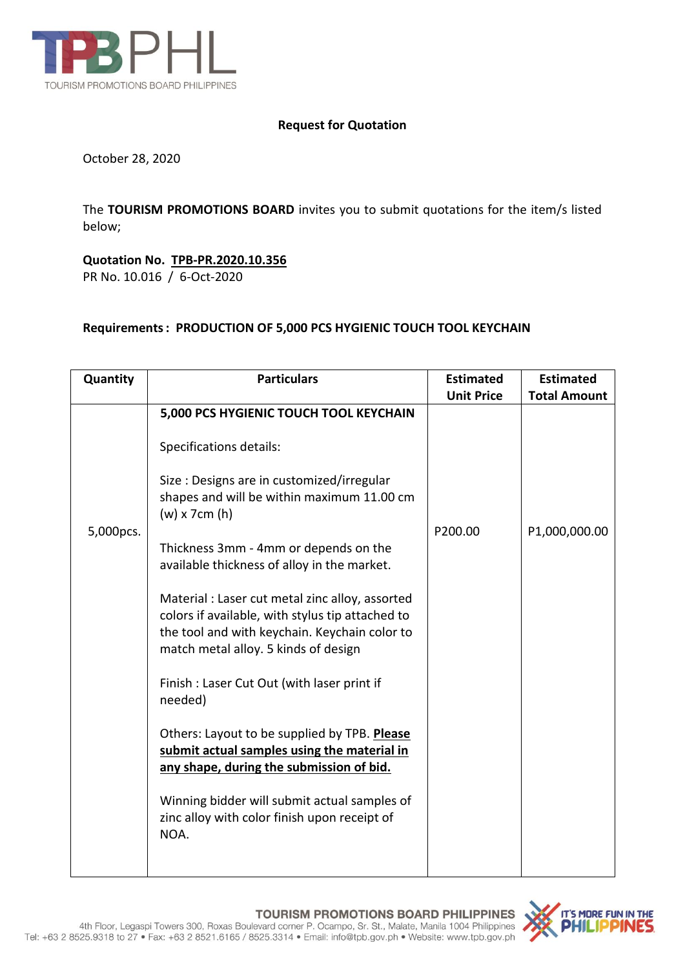

## **Request for Quotation**

October 28, 2020

The **TOURISM PROMOTIONS BOARD** invites you to submit quotations for the item/s listed below;

## **Quotation No. TPB-PR.2020.10.356**

PR No. 10.016 / 6-Oct-2020

## **Requirements: PRODUCTION OF 5,000 PCS HYGIENIC TOUCH TOOL KEYCHAIN**

| Quantity  | <b>Particulars</b>                                                                                                                                                                           | <b>Estimated</b><br><b>Unit Price</b> | <b>Estimated</b><br><b>Total Amount</b> |
|-----------|----------------------------------------------------------------------------------------------------------------------------------------------------------------------------------------------|---------------------------------------|-----------------------------------------|
|           | 5,000 PCS HYGIENIC TOUCH TOOL KEYCHAIN                                                                                                                                                       |                                       |                                         |
|           | Specifications details:                                                                                                                                                                      |                                       |                                         |
| 5,000pcs. | Size : Designs are in customized/irregular<br>shapes and will be within maximum 11.00 cm<br>$(w)$ x 7cm $(h)$                                                                                | P200.00                               | P1,000,000.00                           |
|           | Thickness 3mm - 4mm or depends on the<br>available thickness of alloy in the market.                                                                                                         |                                       |                                         |
|           | Material : Laser cut metal zinc alloy, assorted<br>colors if available, with stylus tip attached to<br>the tool and with keychain. Keychain color to<br>match metal alloy. 5 kinds of design |                                       |                                         |
|           | Finish : Laser Cut Out (with laser print if<br>needed)                                                                                                                                       |                                       |                                         |
|           | Others: Layout to be supplied by TPB. Please<br>submit actual samples using the material in<br>any shape, during the submission of bid.                                                      |                                       |                                         |
|           | Winning bidder will submit actual samples of<br>zinc alloy with color finish upon receipt of<br>NOA.                                                                                         |                                       |                                         |
|           |                                                                                                                                                                                              |                                       |                                         |

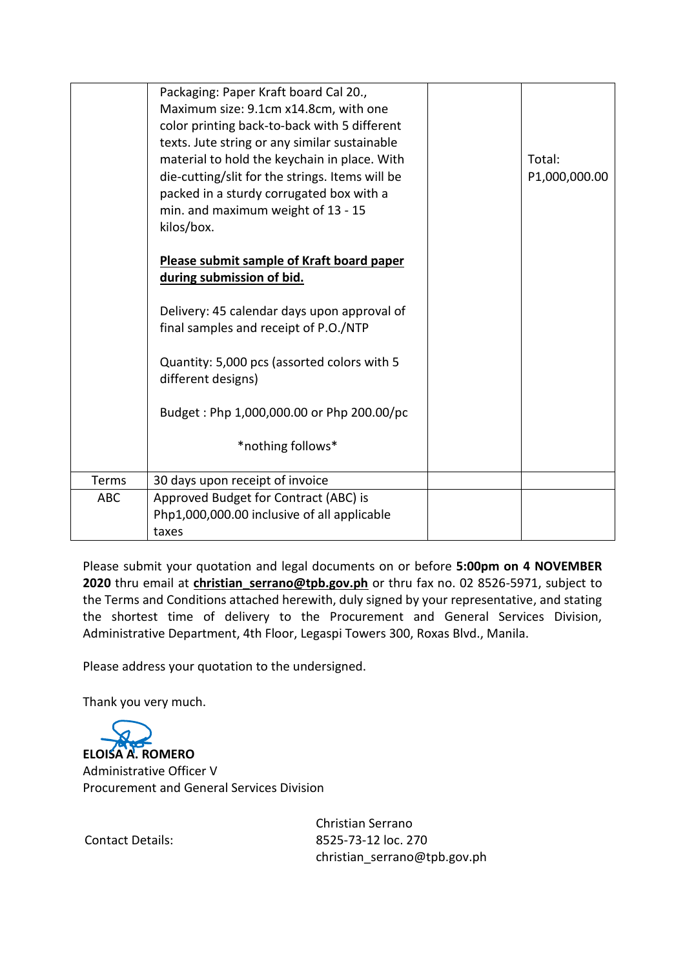|            | Packaging: Paper Kraft board Cal 20.,<br>Maximum size: 9.1cm x14.8cm, with one<br>color printing back-to-back with 5 different<br>texts. Jute string or any similar sustainable<br>material to hold the keychain in place. With<br>die-cutting/slit for the strings. Items will be<br>packed in a sturdy corrugated box with a<br>min. and maximum weight of 13 - 15<br>kilos/box. | Total:<br>P1,000,000.00 |
|------------|------------------------------------------------------------------------------------------------------------------------------------------------------------------------------------------------------------------------------------------------------------------------------------------------------------------------------------------------------------------------------------|-------------------------|
|            | Please submit sample of Kraft board paper<br>during submission of bid.                                                                                                                                                                                                                                                                                                             |                         |
|            | Delivery: 45 calendar days upon approval of<br>final samples and receipt of P.O./NTP                                                                                                                                                                                                                                                                                               |                         |
|            | Quantity: 5,000 pcs (assorted colors with 5<br>different designs)                                                                                                                                                                                                                                                                                                                  |                         |
|            | Budget: Php 1,000,000.00 or Php 200.00/pc                                                                                                                                                                                                                                                                                                                                          |                         |
|            | *nothing follows*                                                                                                                                                                                                                                                                                                                                                                  |                         |
| Terms      | 30 days upon receipt of invoice                                                                                                                                                                                                                                                                                                                                                    |                         |
| <b>ABC</b> | Approved Budget for Contract (ABC) is<br>Php1,000,000.00 inclusive of all applicable<br>taxes                                                                                                                                                                                                                                                                                      |                         |

Please submit your quotation and legal documents on or before **5:00pm on 4 NOVEMBER 2020** thru email at **christian\_serrano@tpb.gov.ph** or thru fax no. 02 8526-5971, subject to the Terms and Conditions attached herewith, duly signed by your representative, and stating the shortest time of delivery to the Procurement and General Services Division, Administrative Department, 4th Floor, Legaspi Towers 300, Roxas Blvd., Manila.

Please address your quotation to the undersigned.

Thank you very much.

**ELOISA A. ROMERO** Administrative Officer V Procurement and General Services Division

Contact Details:

Christian Serrano 8525-73-12 loc. 270 christian\_serrano@tpb.gov.ph